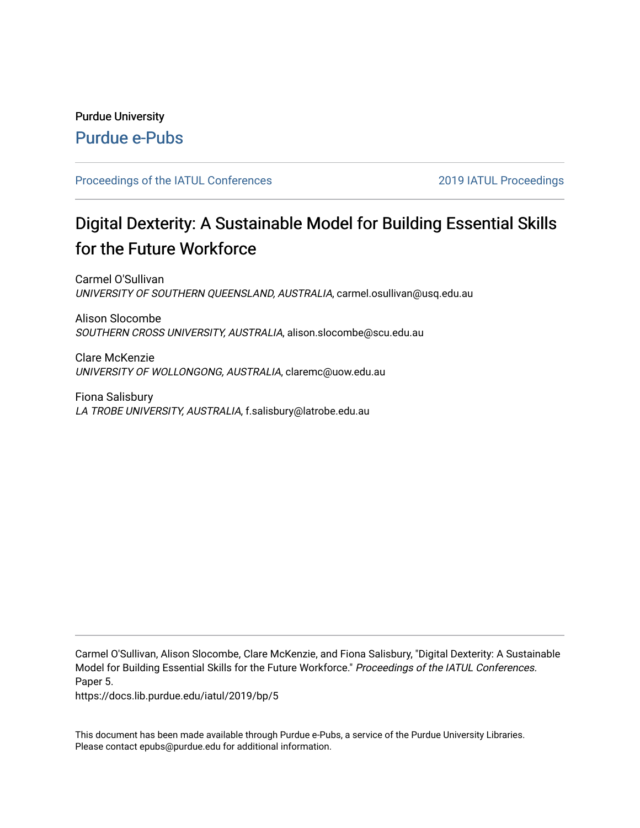## Purdue University [Purdue e-Pubs](https://docs.lib.purdue.edu/)

#### [Proceedings of the IATUL Conferences](https://docs.lib.purdue.edu/iatul) 2019 2019 IATUL Proceedings

# Digital Dexterity: A Sustainable Model for Building Essential Skills for the Future Workforce

Carmel O'Sullivan UNIVERSITY OF SOUTHERN QUEENSLAND, AUSTRALIA, carmel.osullivan@usq.edu.au

Alison Slocombe SOUTHERN CROSS UNIVERSITY, AUSTRALIA, alison.slocombe@scu.edu.au

Clare McKenzie UNIVERSITY OF WOLLONGONG, AUSTRALIA, claremc@uow.edu.au

Fiona Salisbury LA TROBE UNIVERSITY, AUSTRALIA, f.salisbury@latrobe.edu.au

Carmel O'Sullivan, Alison Slocombe, Clare McKenzie, and Fiona Salisbury, "Digital Dexterity: A Sustainable Model for Building Essential Skills for the Future Workforce." Proceedings of the IATUL Conferences. Paper 5.

https://docs.lib.purdue.edu/iatul/2019/bp/5

This document has been made available through Purdue e-Pubs, a service of the Purdue University Libraries. Please contact epubs@purdue.edu for additional information.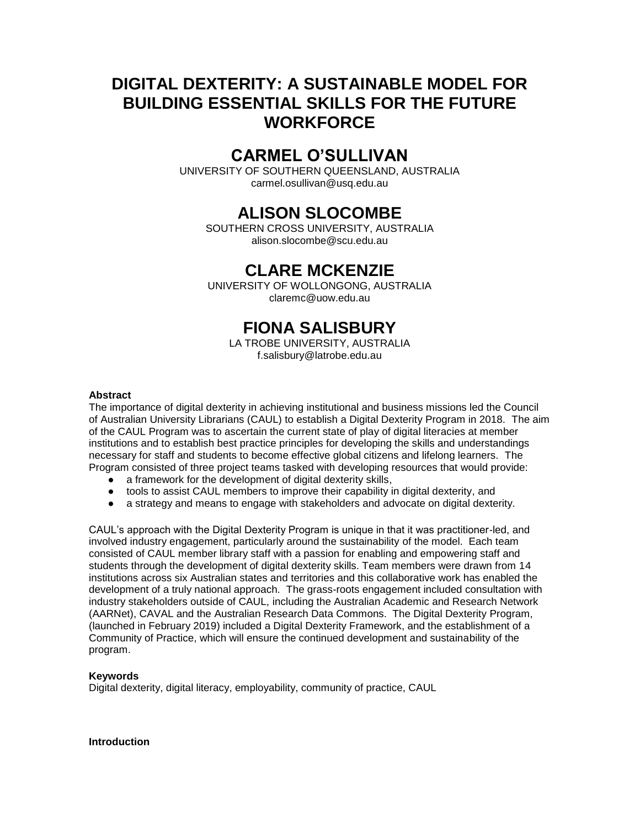## **DIGITAL DEXTERITY: A SUSTAINABLE MODEL FOR BUILDING ESSENTIAL SKILLS FOR THE FUTURE WORKFORCE**

## **CARMEL O'SULLIVAN**

UNIVERSITY OF SOUTHERN QUEENSLAND, AUSTRALIA carmel.osullivan@usq.edu.au

## **ALISON SLOCOMBE**

SOUTHERN CROSS UNIVERSITY, AUSTRALIA alison.slocombe@scu.edu.au

## **CLARE MCKENZIE**

UNIVERSITY OF WOLLONGONG, AUSTRALIA claremc@uow.edu.au

## **FIONA SALISBURY**

LA TROBE UNIVERSITY, AUSTRALIA f.salisbury@latrobe.edu.au

#### **Abstract**

The importance of digital dexterity in achieving institutional and business missions led the Council of Australian University Librarians (CAUL) to establish a Digital Dexterity Program in 2018. The aim of the CAUL Program was to ascertain the current state of play of digital literacies at member institutions and to establish best practice principles for developing the skills and understandings necessary for staff and students to become effective global citizens and lifelong learners. The Program consisted of three project teams tasked with developing resources that would provide:

- $\bullet$  a framework for the development of digital dexterity skills,
- tools to assist CAUL members to improve their capability in digital dexterity, and
- a strategy and means to engage with stakeholders and advocate on digital dexterity.

CAUL's approach with the Digital Dexterity Program is unique in that it was practitioner-led, and involved industry engagement, particularly around the sustainability of the model. Each team consisted of CAUL member library staff with a passion for enabling and empowering staff and students through the development of digital dexterity skills. Team members were drawn from 14 institutions across six Australian states and territories and this collaborative work has enabled the development of a truly national approach. The grass-roots engagement included consultation with industry stakeholders outside of CAUL, including the Australian Academic and Research Network (AARNet), CAVAL and the Australian Research Data Commons. The Digital Dexterity Program, (launched in February 2019) included a Digital Dexterity Framework, and the establishment of a Community of Practice, which will ensure the continued development and sustainability of the program.

#### **Keywords**

Digital dexterity, digital literacy, employability, community of practice, CAUL

**Introduction**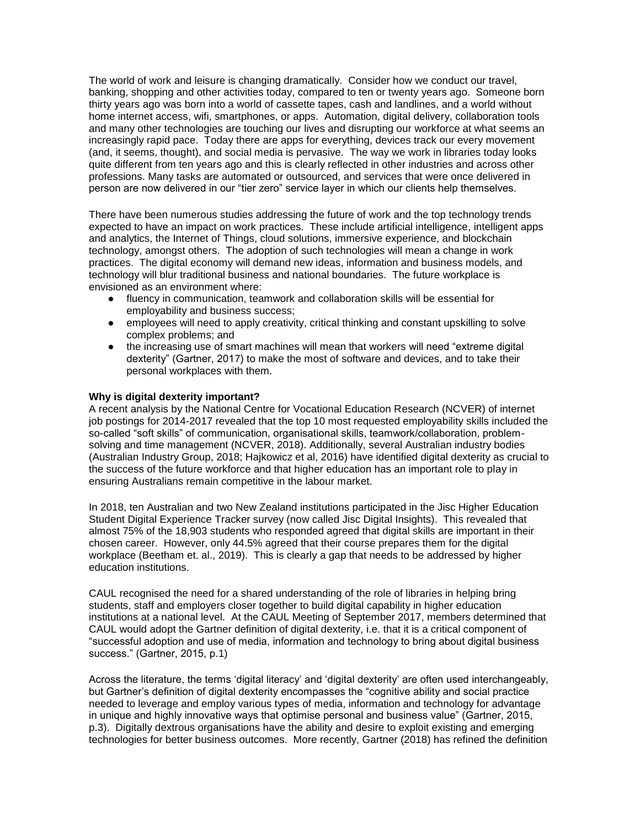The world of work and leisure is changing dramatically. Consider how we conduct our travel, banking, shopping and other activities today, compared to ten or twenty years ago. Someone born thirty years ago was born into a world of cassette tapes, cash and landlines, and a world without home internet access, wifi, smartphones, or apps. Automation, digital delivery, collaboration tools and many other technologies are touching our lives and disrupting our workforce at what seems an increasingly rapid pace. Today there are apps for everything, devices track our every movement (and, it seems, thought), and social media is pervasive. The way we work in libraries today looks quite different from ten years ago and this is clearly reflected in other industries and across other professions. Many tasks are automated or outsourced, and services that were once delivered in person are now delivered in our "tier zero" service layer in which our clients help themselves.

There have been numerous studies addressing the future of work and the top technology trends expected to have an impact on work practices. These include artificial intelligence, intelligent apps and analytics, the Internet of Things, cloud solutions, immersive experience, and blockchain technology, amongst others. The adoption of such technologies will mean a change in work practices. The digital economy will demand new ideas, information and business models, and technology will blur traditional business and national boundaries. The future workplace is envisioned as an environment where:

- fluency in communication, teamwork and collaboration skills will be essential for employability and business success;
- employees will need to apply creativity, critical thinking and constant upskilling to solve complex problems; and
- the increasing use of smart machines will mean that workers will need "extreme digital dexterity" (Gartner, 2017) to make the most of software and devices, and to take their personal workplaces with them.

#### **Why is digital dexterity important?**

A recent analysis by the National Centre for Vocational Education Research (NCVER) of internet job postings for 2014-2017 revealed that the top 10 most requested employability skills included the so-called "soft skills" of communication, organisational skills, teamwork/collaboration, problemsolving and time management (NCVER, 2018). Additionally, several Australian industry bodies (Australian Industry Group, 2018; Hajkowicz et al, 2016) have identified digital dexterity as crucial to the success of the future workforce and that higher education has an important role to play in ensuring Australians remain competitive in the labour market.

In 2018, ten Australian and two New Zealand institutions participated in the Jisc Higher Education Student Digital Experience Tracker survey (now called Jisc Digital Insights). This revealed that almost 75% of the 18,903 students who responded agreed that digital skills are important in their chosen career. However, only 44.5% agreed that their course prepares them for the digital workplace (Beetham et. al., 2019). This is clearly a gap that needs to be addressed by higher education institutions.

CAUL recognised the need for a shared understanding of the role of libraries in helping bring students, staff and employers closer together to build digital capability in higher education institutions at a national level. At the CAUL Meeting of September 2017, members determined that CAUL would adopt the Gartner definition of digital dexterity, i.e. that it is a critical component of "successful adoption and use of media, information and technology to bring about digital business success." (Gartner, 2015, p.1)

Across the literature, the terms 'digital literacy' and 'digital dexterity' are often used interchangeably, but Gartner's definition of digital dexterity encompasses the "cognitive ability and social practice needed to leverage and employ various types of media, information and technology for advantage in unique and highly innovative ways that optimise personal and business value" (Gartner, 2015, p.3). Digitally dextrous organisations have the ability and desire to exploit existing and emerging technologies for better business outcomes. More recently, Gartner (2018) has refined the definition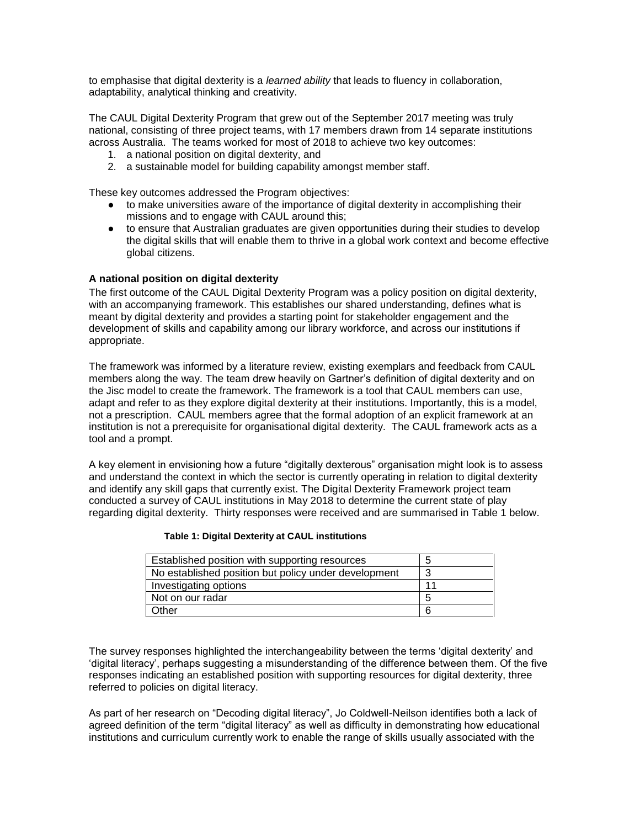to emphasise that digital dexterity is a *learned ability* that leads to fluency in collaboration, adaptability, analytical thinking and creativity.

The CAUL Digital Dexterity Program that grew out of the September 2017 meeting was truly national, consisting of three project teams, with 17 members drawn from 14 separate institutions across Australia. The teams worked for most of 2018 to achieve two key outcomes:

- 1. a national position on digital dexterity, and
- 2. a sustainable model for building capability amongst member staff.

These key outcomes addressed the Program objectives:

- to make universities aware of the importance of digital dexterity in accomplishing their missions and to engage with CAUL around this;
- to ensure that Australian graduates are given opportunities during their studies to develop the digital skills that will enable them to thrive in a global work context and become effective global citizens.

#### **A national position on digital dexterity**

The first outcome of the CAUL Digital Dexterity Program was a policy position on digital dexterity, with an accompanying framework. This establishes our shared understanding, defines what is meant by digital dexterity and provides a starting point for stakeholder engagement and the development of skills and capability among our library workforce, and across our institutions if appropriate.

The framework was informed by a literature review, existing exemplars and feedback from CAUL members along the way. The team drew heavily on Gartner's definition of digital dexterity and on the Jisc model to create the framework. The framework is a tool that CAUL members can use, adapt and refer to as they explore digital dexterity at their institutions. Importantly, this is a model, not a prescription. CAUL members agree that the formal adoption of an explicit framework at an institution is not a prerequisite for organisational digital dexterity. The CAUL framework acts as a tool and a prompt.

A key element in envisioning how a future "digitally dexterous" organisation might look is to assess and understand the context in which the sector is currently operating in relation to digital dexterity and identify any skill gaps that currently exist. The Digital Dexterity Framework project team conducted a survey of CAUL institutions in May 2018 to determine the current state of play regarding digital dexterity. Thirty responses were received and are summarised in Table 1 below.

| Established position with supporting resources       | b  |
|------------------------------------------------------|----|
| No established position but policy under development |    |
| Investigating options                                | 11 |
| Not on our radar                                     | 5  |
| Other                                                | 6  |

#### **Table 1: Digital Dexterity at CAUL institutions**

The survey responses highlighted the interchangeability between the terms 'digital dexterity' and 'digital literacy', perhaps suggesting a misunderstanding of the difference between them. Of the five responses indicating an established position with supporting resources for digital dexterity, three referred to policies on digital literacy.

As part of her research on "Decoding digital literacy", Jo Coldwell-Neilson identifies both a lack of agreed definition of the term "digital literacy" as well as difficulty in demonstrating how educational institutions and curriculum currently work to enable the range of skills usually associated with the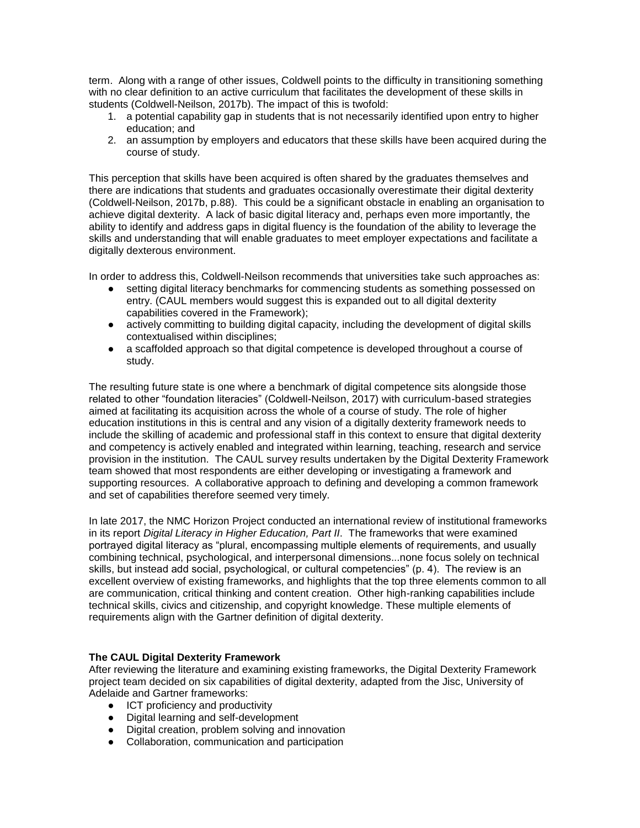term. Along with a range of other issues, Coldwell points to the difficulty in transitioning something with no clear definition to an active curriculum that facilitates the development of these skills in students (Coldwell-Neilson, 2017b). The impact of this is twofold:

- 1. a potential capability gap in students that is not necessarily identified upon entry to higher education; and
- 2. an assumption by employers and educators that these skills have been acquired during the course of study.

This perception that skills have been acquired is often shared by the graduates themselves and there are indications that students and graduates occasionally overestimate their digital dexterity (Coldwell-Neilson, 2017b, p.88). This could be a significant obstacle in enabling an organisation to achieve digital dexterity. A lack of basic digital literacy and, perhaps even more importantly, the ability to identify and address gaps in digital fluency is the foundation of the ability to leverage the skills and understanding that will enable graduates to meet employer expectations and facilitate a digitally dexterous environment.

In order to address this, Coldwell-Neilson recommends that universities take such approaches as:

- setting digital literacy benchmarks for commencing students as something possessed on entry. (CAUL members would suggest this is expanded out to all digital dexterity capabilities covered in the Framework);
- actively committing to building digital capacity, including the development of digital skills contextualised within disciplines;
- a scaffolded approach so that digital competence is developed throughout a course of study.

The resulting future state is one where a benchmark of digital competence sits alongside those related to other "foundation literacies" (Coldwell-Neilson, 2017) with curriculum-based strategies aimed at facilitating its acquisition across the whole of a course of study. The role of higher education institutions in this is central and any vision of a digitally dexterity framework needs to include the skilling of academic and professional staff in this context to ensure that digital dexterity and competency is actively enabled and integrated within learning, teaching, research and service provision in the institution. The CAUL survey results undertaken by the Digital Dexterity Framework team showed that most respondents are either developing or investigating a framework and supporting resources. A collaborative approach to defining and developing a common framework and set of capabilities therefore seemed very timely.

In late 2017, the NMC Horizon Project conducted an international review of institutional frameworks in its report *Digital Literacy in Higher Education, Part II*. The frameworks that were examined portrayed digital literacy as "plural, encompassing multiple elements of requirements, and usually combining technical, psychological, and interpersonal dimensions...none focus solely on technical skills, but instead add social, psychological, or cultural competencies" (p. 4). The review is an excellent overview of existing frameworks, and highlights that the top three elements common to all are communication, critical thinking and content creation. Other high-ranking capabilities include technical skills, civics and citizenship, and copyright knowledge. These multiple elements of requirements align with the Gartner definition of digital dexterity.

#### **The CAUL Digital Dexterity Framework**

After reviewing the literature and examining existing frameworks, the Digital Dexterity Framework project team decided on six capabilities of digital dexterity, adapted from the Jisc, University of Adelaide and Gartner frameworks:

- ICT proficiency and productivity
- Digital learning and self-development
- Digital creation, problem solving and innovation
- Collaboration, communication and participation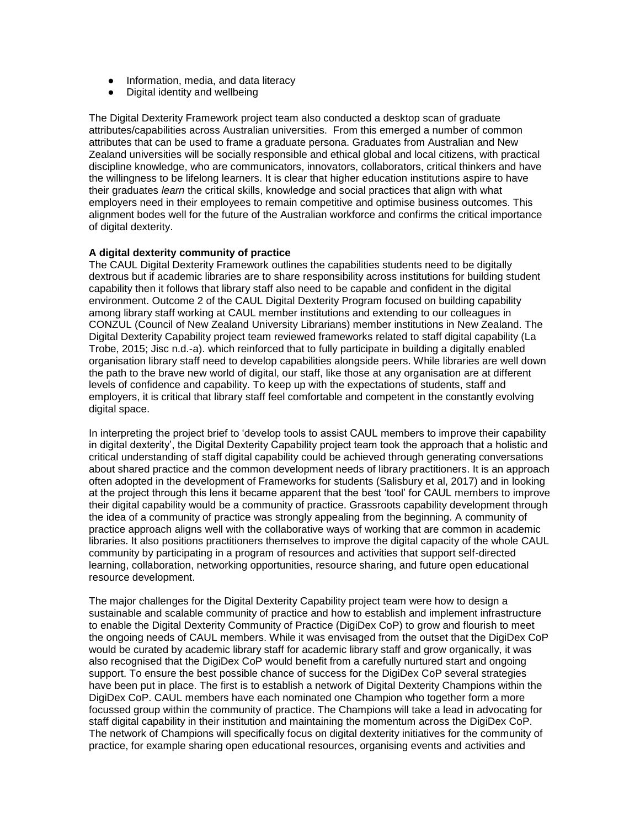- Information, media, and data literacy
- Digital identity and wellbeing

The Digital Dexterity Framework project team also conducted a desktop scan of graduate attributes/capabilities across Australian universities. From this emerged a number of common attributes that can be used to frame a graduate persona. Graduates from Australian and New Zealand universities will be socially responsible and ethical global and local citizens, with practical discipline knowledge, who are communicators, innovators, collaborators, critical thinkers and have the willingness to be lifelong learners. It is clear that higher education institutions aspire to have their graduates *learn* the critical skills, knowledge and social practices that align with what employers need in their employees to remain competitive and optimise business outcomes. This alignment bodes well for the future of the Australian workforce and confirms the critical importance of digital dexterity.

#### **A digital dexterity community of practice**

The CAUL Digital Dexterity Framework outlines the capabilities students need to be digitally dextrous but if academic libraries are to share responsibility across institutions for building student capability then it follows that library staff also need to be capable and confident in the digital environment. Outcome 2 of the CAUL Digital Dexterity Program focused on building capability among library staff working at CAUL member institutions and extending to our colleagues in CONZUL (Council of New Zealand University Librarians) member institutions in New Zealand. The Digital Dexterity Capability project team reviewed frameworks related to staff digital capability (La Trobe, 2015; Jisc n.d.-a). which reinforced that to fully participate in building a digitally enabled organisation library staff need to develop capabilities alongside peers. While libraries are well down the path to the brave new world of digital, our staff, like those at any organisation are at different levels of confidence and capability. To keep up with the expectations of students, staff and employers, it is critical that library staff feel comfortable and competent in the constantly evolving digital space.

In interpreting the project brief to 'develop tools to assist CAUL members to improve their capability in digital dexterity', the Digital Dexterity Capability project team took the approach that a holistic and critical understanding of staff digital capability could be achieved through generating conversations about shared practice and the common development needs of library practitioners. It is an approach often adopted in the development of Frameworks for students (Salisbury et al, 2017) and in looking at the project through this lens it became apparent that the best 'tool' for CAUL members to improve their digital capability would be a community of practice. Grassroots capability development through the idea of a community of practice was strongly appealing from the beginning. A community of practice approach aligns well with the collaborative ways of working that are common in academic libraries. It also positions practitioners themselves to improve the digital capacity of the whole CAUL community by participating in a program of resources and activities that support self-directed learning, collaboration, networking opportunities, resource sharing, and future open educational resource development.

The major challenges for the Digital Dexterity Capability project team were how to design a sustainable and scalable community of practice and how to establish and implement infrastructure to enable the Digital Dexterity Community of Practice (DigiDex CoP) to grow and flourish to meet the ongoing needs of CAUL members. While it was envisaged from the outset that the DigiDex CoP would be curated by academic library staff for academic library staff and grow organically, it was also recognised that the DigiDex CoP would benefit from a carefully nurtured start and ongoing support. To ensure the best possible chance of success for the DigiDex CoP several strategies have been put in place. The first is to establish a network of Digital Dexterity Champions within the DigiDex CoP. CAUL members have each nominated one Champion who together form a more focussed group within the community of practice. The Champions will take a lead in advocating for staff digital capability in their institution and maintaining the momentum across the DigiDex CoP. The network of Champions will specifically focus on digital dexterity initiatives for the community of practice, for example sharing open educational resources, organising events and activities and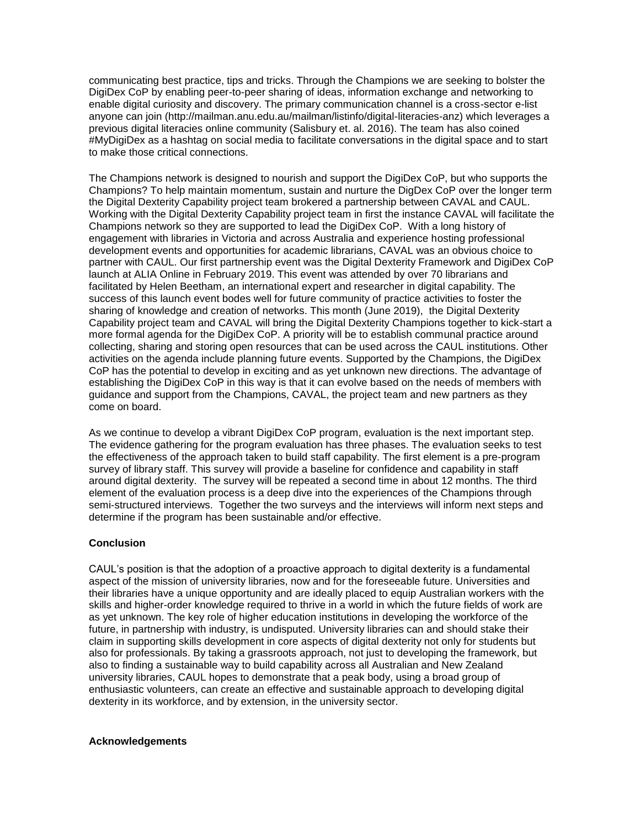communicating best practice, tips and tricks. Through the Champions we are seeking to bolster the DigiDex CoP by enabling peer-to-peer sharing of ideas, information exchange and networking to enable digital curiosity and discovery. The primary communication channel is a cross-sector e-list anyone can join (http://mailman.anu.edu.au/mailman/listinfo/digital-literacies-anz) which leverages a previous digital literacies online community (Salisbury et. al. 2016). The team has also coined #MyDigiDex as a hashtag on social media to facilitate conversations in the digital space and to start to make those critical connections.

The Champions network is designed to nourish and support the DigiDex CoP, but who supports the Champions? To help maintain momentum, sustain and nurture the DigDex CoP over the longer term the Digital Dexterity Capability project team brokered a partnership between CAVAL and CAUL. Working with the Digital Dexterity Capability project team in first the instance CAVAL will facilitate the Champions network so they are supported to lead the DigiDex CoP. With a long history of engagement with libraries in Victoria and across Australia and experience hosting professional development events and opportunities for academic librarians, CAVAL was an obvious choice to partner with CAUL. Our first partnership event was the Digital Dexterity Framework and DigiDex CoP launch at ALIA Online in February 2019. This event was attended by over 70 librarians and facilitated by Helen Beetham, an international expert and researcher in digital capability. The success of this launch event bodes well for future community of practice activities to foster the sharing of knowledge and creation of networks. This month (June 2019), the Digital Dexterity Capability project team and CAVAL will bring the Digital Dexterity Champions together to kick-start a more formal agenda for the DigiDex CoP. A priority will be to establish communal practice around collecting, sharing and storing open resources that can be used across the CAUL institutions. Other activities on the agenda include planning future events. Supported by the Champions, the DigiDex CoP has the potential to develop in exciting and as yet unknown new directions. The advantage of establishing the DigiDex CoP in this way is that it can evolve based on the needs of members with guidance and support from the Champions, CAVAL, the project team and new partners as they come on board.

As we continue to develop a vibrant DigiDex CoP program, evaluation is the next important step. The evidence gathering for the program evaluation has three phases. The evaluation seeks to test the effectiveness of the approach taken to build staff capability. The first element is a pre-program survey of library staff. This survey will provide a baseline for confidence and capability in staff around digital dexterity. The survey will be repeated a second time in about 12 months. The third element of the evaluation process is a deep dive into the experiences of the Champions through semi-structured interviews. Together the two surveys and the interviews will inform next steps and determine if the program has been sustainable and/or effective.

#### **Conclusion**

CAUL's position is that the adoption of a proactive approach to digital dexterity is a fundamental aspect of the mission of university libraries, now and for the foreseeable future. Universities and their libraries have a unique opportunity and are ideally placed to equip Australian workers with the skills and higher-order knowledge required to thrive in a world in which the future fields of work are as yet unknown. The key role of higher education institutions in developing the workforce of the future, in partnership with industry, is undisputed. University libraries can and should stake their claim in supporting skills development in core aspects of digital dexterity not only for students but also for professionals. By taking a grassroots approach, not just to developing the framework, but also to finding a sustainable way to build capability across all Australian and New Zealand university libraries, CAUL hopes to demonstrate that a peak body, using a broad group of enthusiastic volunteers, can create an effective and sustainable approach to developing digital dexterity in its workforce, and by extension, in the university sector.

#### **Acknowledgements**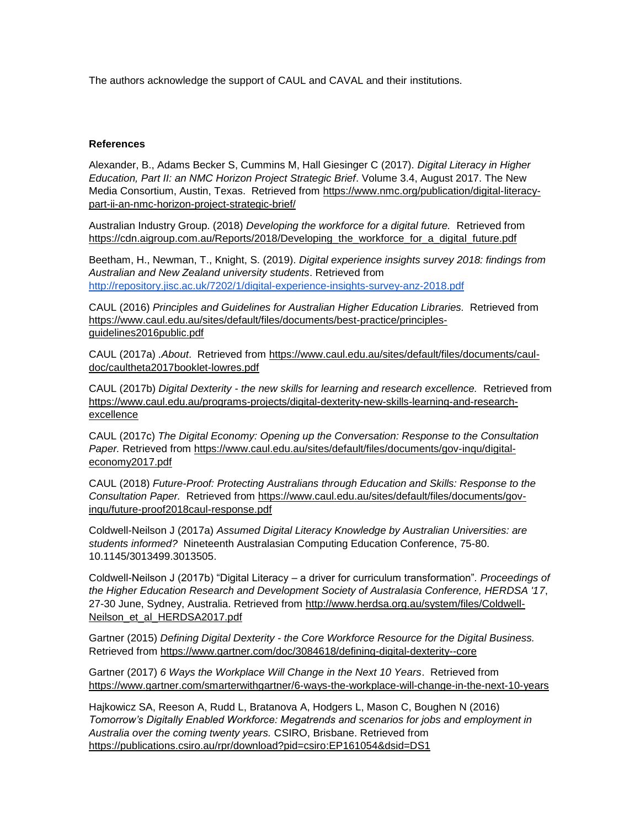The authors acknowledge the support of CAUL and CAVAL and their institutions.

#### **References**

Alexander, B., Adams Becker S, Cummins M, Hall Giesinger C (2017). *Digital Literacy in Higher Education, Part II: an NMC Horizon Project Strategic Brief*. Volume 3.4, August 2017. The New Media Consortium, Austin, Texas. Retrieved from [https://www.nmc.org/publication/digital-literacy](https://www.nmc.org/publication/digital-literacy-part-ii-an-nmc-horizon-project-strategic-brief/)[part-ii-an-nmc-horizon-project-strategic-brief/](https://www.nmc.org/publication/digital-literacy-part-ii-an-nmc-horizon-project-strategic-brief/)

Australian Industry Group. (2018) *Developing the workforce for a digital future.* Retrieved from [https://cdn.aigroup.com.au/Reports/2018/Developing\\_the\\_workforce\\_for\\_a\\_digital\\_future.pdf](https://cdn.aigroup.com.au/Reports/2018/Developing_the_workforce_for_a_digital_future.pdf)

Beetham, H., Newman, T., Knight, S. (2019). *Digital experience insights survey 2018: findings from Australian and New Zealand university students*. Retrieved from <http://repository.jisc.ac.uk/7202/1/digital-experience-insights-survey-anz-2018.pdf>

CAUL (2016) *Principles and Guidelines for Australian Higher Education Libraries.* Retrieved from [https://www.caul.edu.au/sites/default/files/documents/best-practice/principles](https://www.caul.edu.au/sites/default/files/documents/best-practice/principles-guidelines2016public.pdf)[guidelines2016public.pdf](https://www.caul.edu.au/sites/default/files/documents/best-practice/principles-guidelines2016public.pdf)

CAUL (2017a) *.About*. Retrieved from [https://www.caul.edu.au/sites/default/files/documents/caul](https://www.caul.edu.au/sites/default/files/documents/caul-doc/caultheta2017booklet-lowres.pdf)[doc/caultheta2017booklet-lowres.pdf](https://www.caul.edu.au/sites/default/files/documents/caul-doc/caultheta2017booklet-lowres.pdf)

CAUL (2017b) *Digital Dexterity - the new skills for learning and research excellence.* Retrieved from [https://www.caul.edu.au/programs-projects/digital-dexterity-new-skills-learning-and-research](https://www.caul.edu.au/programs-projects/digital-dexterity-new-skills-learning-and-research-excellence)[excellence](https://www.caul.edu.au/programs-projects/digital-dexterity-new-skills-learning-and-research-excellence)

CAUL (2017c) *The Digital Economy: Opening up the Conversation: Response to the Consultation*  Paper. Retrieved from [https://www.caul.edu.au/sites/default/files/documents/gov-inqu/digital](https://www.caul.edu.au/sites/default/files/documents/gov-inqu/digital-economy2017.pdf)[economy2017.pdf](https://www.caul.edu.au/sites/default/files/documents/gov-inqu/digital-economy2017.pdf)

CAUL (2018) *Future-Proof: Protecting Australians through Education and Skills: Response to the Consultation Paper.* Retrieved from [https://www.caul.edu.au/sites/default/files/documents/gov](https://www.caul.edu.au/sites/default/files/documents/gov-inqu/future-proof2018caul-response.pdf)[inqu/future-proof2018caul-response.pdf](https://www.caul.edu.au/sites/default/files/documents/gov-inqu/future-proof2018caul-response.pdf)

Coldwell-Neilson J (2017a) *Assumed Digital Literacy Knowledge by Australian Universities: are students informed?* Nineteenth Australasian Computing Education Conference, 75-80. 10.1145/3013499.3013505.

Coldwell-Neilson J (2017b) "Digital Literacy – a driver for curriculum transformation"*. Proceedings of the Higher Education Research and Development Society of Australasia Conference, HERDSA '17*, 27-30 June, Sydney, Australia. Retrieved from [http://www.herdsa.org.au/system/files/Coldwell-](http://www.herdsa.org.au/system/files/Coldwell-Neilson_et_al_HERDSA2017.pdf)[Neilson\\_et\\_al\\_HERDSA2017.pdf](http://www.herdsa.org.au/system/files/Coldwell-Neilson_et_al_HERDSA2017.pdf)

Gartner (2015) *Defining Digital Dexterity - the Core Workforce Resource for the Digital Business.* Retrieved from<https://www.gartner.com/doc/3084618/defining-digital-dexterity--core>

Gartner (2017) *6 Ways the Workplace Will Change in the Next 10 Years*. Retrieved from [https://www.gartner.com/smarterwithgartner/6-ways-the-workplace-will-change-in-the-next-10-years](https://www.gartner.com/smarterwithgartner/6-ways-the-workplace-will-change-in-the-next-10-years/)

Hajkowicz SA, Reeson A, Rudd L, Bratanova A, Hodgers L, Mason C, Boughen N (2016) *Tomorrow's Digitally Enabled Workforce: Megatrends and scenarios for jobs and employment in Australia over the coming twenty years.* CSIRO, Brisbane. Retrieved from [https://publications.csiro.au/rpr/download?pid=csiro:EP161054&dsid=DS1](https://publications.csiro.au/rpr/download?pid=csiro:EP161054&dsid=DS1%20)